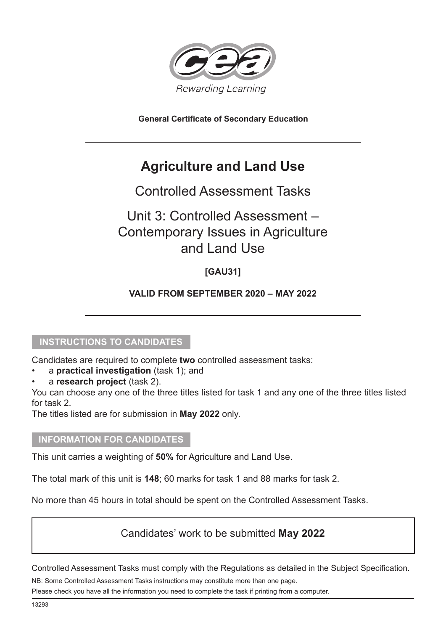

**General Certificate of Secondary Education**

# **Agriculture and Land Use**

# Controlled Assessment Tasks

# Unit 3: Controlled Assessment – Contemporary Issues in Agriculture and Land Use

## **[GAU31]**

## **VALID FROM SEPTEMBER 2020 – MAY 2022**

### **INSTRUCTIONS TO CANDIDATES**

Candidates are required to complete **two** controlled assessment tasks:

- a **practical investigation** (task 1); and
- a **research project** (task 2).

You can choose any one of the three titles listed for task 1 and any one of the three titles listed for task 2.

The titles listed are for submission in **May 2022** only.

#### **INFORMATION FOR CANDIDATES**

This unit carries a weighting of **50%** for Agriculture and Land Use.

The total mark of this unit is **148**; 60 marks for task 1 and 88 marks for task 2.

No more than 45 hours in total should be spent on the Controlled Assessment Tasks.

## Candidates' work to be submitted **May 2022**

Controlled Assessment Tasks must comply with the Regulations as detailed in the Subject Specification.

NB: Some Controlled Assessment Tasks instructions may constitute more than one page.

Please check you have all the information you need to complete the task if printing from a computer.